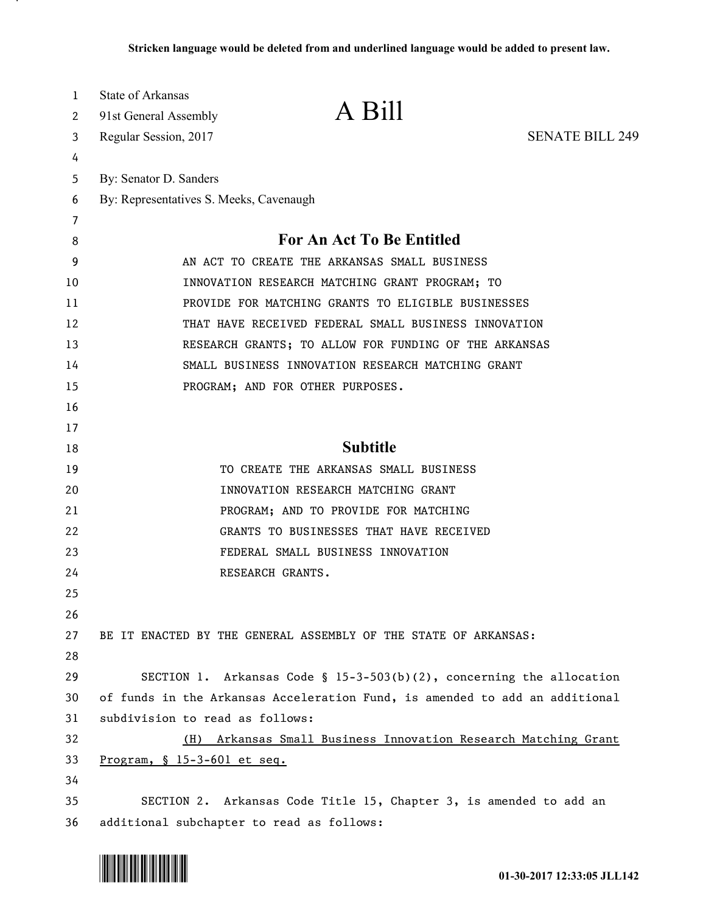| 1  | State of Arkansas                         |                                                                             |                        |
|----|-------------------------------------------|-----------------------------------------------------------------------------|------------------------|
| 2  | 91st General Assembly                     | A Bill                                                                      |                        |
| 3  | Regular Session, 2017                     |                                                                             | <b>SENATE BILL 249</b> |
| 4  |                                           |                                                                             |                        |
| 5  | By: Senator D. Sanders                    |                                                                             |                        |
| 6  | By: Representatives S. Meeks, Cavenaugh   |                                                                             |                        |
| 7  |                                           |                                                                             |                        |
| 8  |                                           | For An Act To Be Entitled                                                   |                        |
| 9  |                                           | AN ACT TO CREATE THE ARKANSAS SMALL BUSINESS                                |                        |
| 10 |                                           | INNOVATION RESEARCH MATCHING GRANT PROGRAM; TO                              |                        |
| 11 |                                           | PROVIDE FOR MATCHING GRANTS TO ELIGIBLE BUSINESSES                          |                        |
| 12 |                                           | THAT HAVE RECEIVED FEDERAL SMALL BUSINESS INNOVATION                        |                        |
| 13 |                                           | RESEARCH GRANTS; TO ALLOW FOR FUNDING OF THE ARKANSAS                       |                        |
| 14 |                                           | SMALL BUSINESS INNOVATION RESEARCH MATCHING GRANT                           |                        |
| 15 |                                           | PROGRAM; AND FOR OTHER PURPOSES.                                            |                        |
| 16 |                                           |                                                                             |                        |
| 17 |                                           |                                                                             |                        |
| 18 |                                           | <b>Subtitle</b>                                                             |                        |
| 19 |                                           | TO CREATE THE ARKANSAS SMALL BUSINESS                                       |                        |
| 20 |                                           | INNOVATION RESEARCH MATCHING GRANT                                          |                        |
| 21 |                                           | PROGRAM; AND TO PROVIDE FOR MATCHING                                        |                        |
| 22 |                                           | GRANTS TO BUSINESSES THAT HAVE RECEIVED                                     |                        |
| 23 |                                           | FEDERAL SMALL BUSINESS INNOVATION                                           |                        |
| 24 | RESEARCH GRANTS.                          |                                                                             |                        |
| 25 |                                           |                                                                             |                        |
| 26 |                                           |                                                                             |                        |
| 27 |                                           | BE IT ENACTED BY THE GENERAL ASSEMBLY OF THE STATE OF ARKANSAS:             |                        |
| 28 |                                           |                                                                             |                        |
| 29 |                                           | SECTION 1. Arkansas Code § 15-3-503(b)(2), concerning the allocation        |                        |
| 30 |                                           | of funds in the Arkansas Acceleration Fund, is amended to add an additional |                        |
| 31 | subdivision to read as follows:           |                                                                             |                        |
| 32 |                                           | (H) Arkansas Small Business Innovation Research Matching Grant              |                        |
| 33 | Program, $$15-3-601$ et seq.              |                                                                             |                        |
| 34 |                                           |                                                                             |                        |
| 35 |                                           | SECTION 2. Arkansas Code Title 15, Chapter 3, is amended to add an          |                        |
| 36 | additional subchapter to read as follows: |                                                                             |                        |



.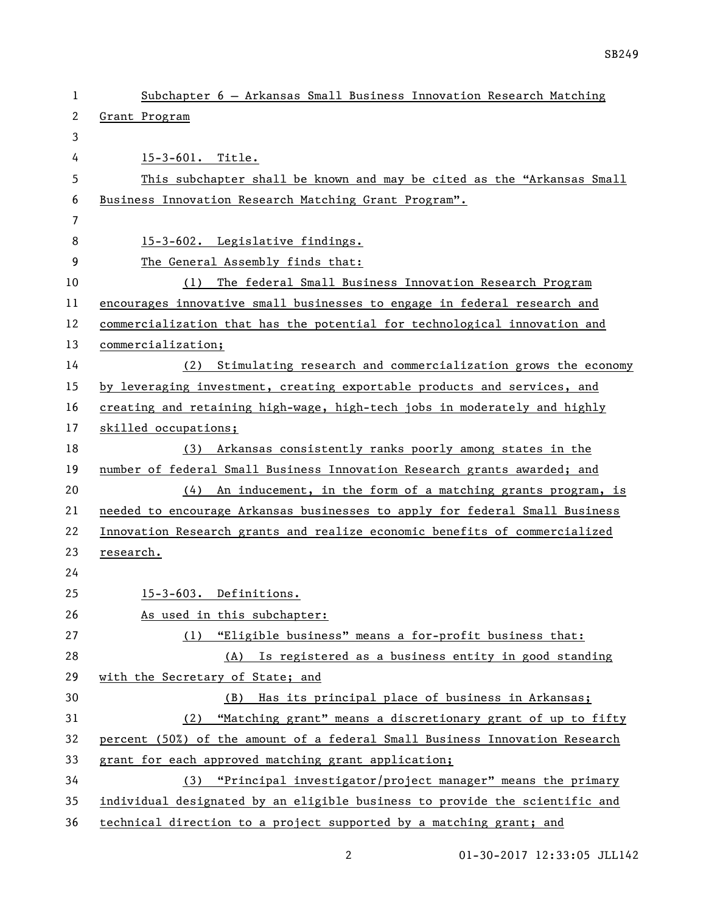| $\mathbf{1}$ | Subchapter 6 - Arkansas Small Business Innovation Research Matching         |
|--------------|-----------------------------------------------------------------------------|
| $\mathbf{2}$ | Grant Program                                                               |
| 3            |                                                                             |
| 4            | 15-3-601. Title.                                                            |
| 5            | This subchapter shall be known and may be cited as the "Arkansas Small      |
| 6            | Business Innovation Research Matching Grant Program".                       |
| 7            |                                                                             |
| 8            | 15-3-602. Legislative findings.                                             |
| 9            | The General Assembly finds that:                                            |
| 10           | The federal Small Business Innovation Research Program<br>(1)               |
| 11           | encourages innovative small businesses to engage in federal research and    |
| 12           | commercialization that has the potential for technological innovation and   |
| 13           | commercialization;                                                          |
| 14           | Stimulating research and commercialization grows the economy<br>(2)         |
| 15           | by leveraging investment, creating exportable products and services, and    |
| 16           | creating and retaining high-wage, high-tech jobs in moderately and highly   |
| 17           | skilled occupations;                                                        |
| 18           | (3) Arkansas consistently ranks poorly among states in the                  |
| 19           | number of federal Small Business Innovation Research grants awarded; and    |
| 20           | $(4)$ An inducement, in the form of a matching grants program, is           |
| 21           | needed to encourage Arkansas businesses to apply for federal Small Business |
| 22           | Innovation Research grants and realize economic benefits of commercialized  |
| 23           | research.                                                                   |
| 24           |                                                                             |
| 25           | 15-3-603. Definitions.                                                      |
| 26           | As used in this subchapter:                                                 |
| 27           | (1) "Eligible business" means a for-profit business that:                   |
| 28           | (A) Is registered as a business entity in good standing                     |
| 29           | with the Secretary of State; and                                            |
| 30           | (B) Has its principal place of business in Arkansas;                        |
| 31           | (2) "Matching grant" means a discretionary grant of up to fifty             |
| 32           | percent (50%) of the amount of a federal Small Business Innovation Research |
| 33           | grant for each approved matching grant application;                         |
| 34           | (3) "Principal investigator/project manager" means the primary              |
| 35           | individual designated by an eligible business to provide the scientific and |
| 36           | technical direction to a project supported by a matching grant; and         |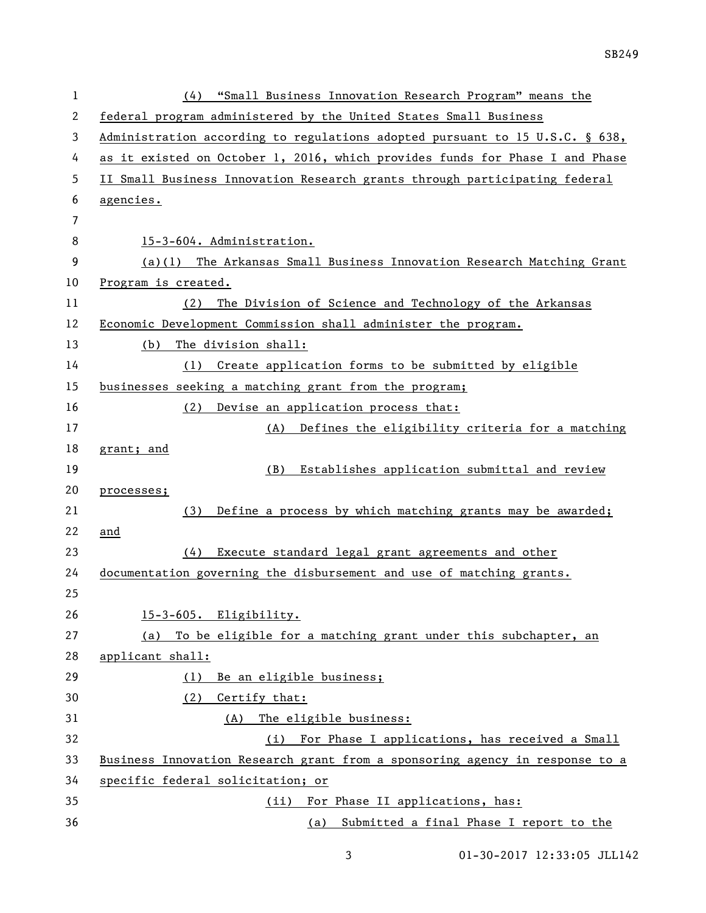| 1  | "Small Business Innovation Research Program" means the<br>(4)                |
|----|------------------------------------------------------------------------------|
| 2  | federal program administered by the United States Small Business             |
| 3  | Administration according to regulations adopted pursuant to 15 U.S.C. § 638, |
| 4  | as it existed on October 1, 2016, which provides funds for Phase I and Phase |
| 5  | II Small Business Innovation Research grants through participating federal   |
| 6  | agencies.                                                                    |
| 7  |                                                                              |
| 8  | 15-3-604. Administration.                                                    |
| 9  | (a)(1) The Arkansas Small Business Innovation Research Matching Grant        |
| 10 | Program is created.                                                          |
| 11 | The Division of Science and Technology of the Arkansas<br>(2)                |
| 12 | Economic Development Commission shall administer the program.                |
| 13 | The division shall:<br>(b)                                                   |
| 14 | Create application forms to be submitted by eligible<br>(1)                  |
| 15 | businesses seeking a matching grant from the program;                        |
| 16 | (2)<br>Devise an application process that:                                   |
| 17 | Defines the eligibility criteria for a matching<br>(A)                       |
| 18 | grant; and                                                                   |
| 19 | Establishes application submittal and review<br>(B)                          |
| 20 | processes;                                                                   |
| 21 | Define a process by which matching grants may be awarded;<br>(3)             |
| 22 | and                                                                          |
| 23 | Execute standard legal grant agreements and other<br>(4)                     |
| 24 | documentation governing the disbursement and use of matching grants.         |
| 25 |                                                                              |
| 26 | 15-3-605. Eligibility.                                                       |
| 27 | To be eligible for a matching grant under this subchapter, an<br>(a)         |
| 28 | applicant shall:                                                             |
| 29 | Be an eligible business;<br>(1)                                              |
| 30 | Certify that:<br>(2)                                                         |
| 31 | The eligible business:<br>(A)                                                |
| 32 | (i) For Phase I applications, has received a Small                           |
| 33 | Business Innovation Research grant from a sponsoring agency in response to a |
| 34 | specific federal solicitation; or                                            |
| 35 | For Phase II applications, has:<br>(ii)                                      |
| 36 | Submitted a final Phase I report to the<br>(a)                               |

01-30-2017 12:33:05 JLL142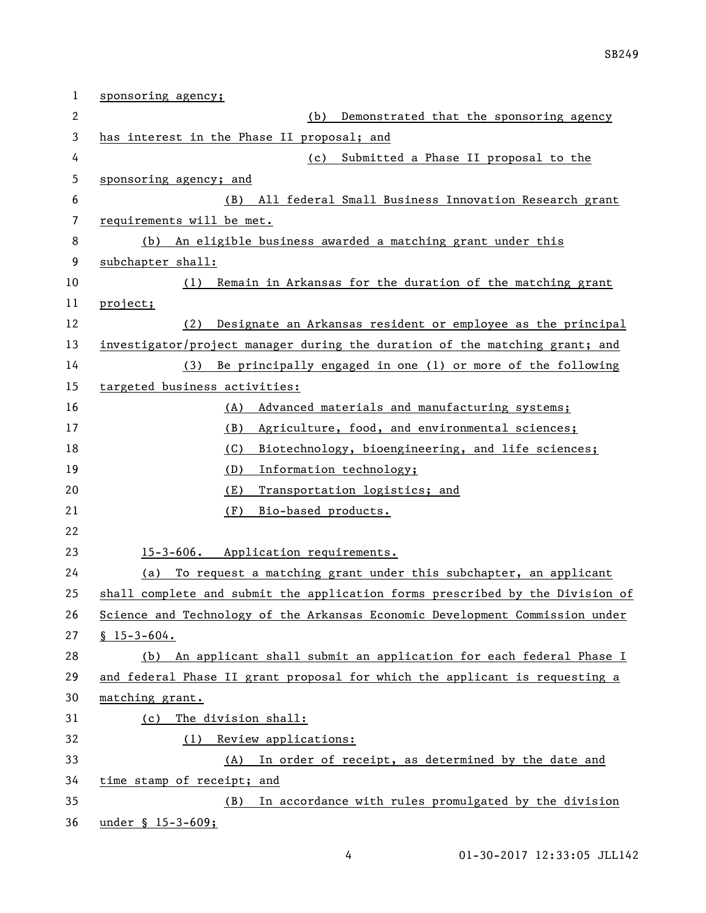| 1  | sponsoring agency;                                                            |
|----|-------------------------------------------------------------------------------|
| 2  | Demonstrated that the sponsoring agency<br>(b)                                |
| 3  | has interest in the Phase II proposal; and                                    |
| 4  | Submitted a Phase II proposal to the<br>(c)                                   |
| 5  | sponsoring agency; and                                                        |
| 6  | All federal Small Business Innovation Research grant<br>(B)                   |
| 7  | requirements will be met.                                                     |
| 8  | An eligible business awarded a matching grant under this<br>(b)               |
| 9  | subchapter shall:                                                             |
| 10 | Remain in Arkansas for the duration of the matching grant<br>(1)              |
| 11 | project;                                                                      |
| 12 | Designate an Arkansas resident or employee as the principal<br>(2)            |
| 13 | investigator/project manager during the duration of the matching grant; and   |
| 14 | Be principally engaged in one (1) or more of the following<br>(3)             |
| 15 | targeted business activities:                                                 |
| 16 | Advanced materials and manufacturing systems;<br>(A)                          |
| 17 | (B)<br>Agriculture, food, and environmental sciences;                         |
| 18 | (C)<br>Biotechnology, bioengineering, and life sciences;                      |
| 19 | (D)<br>Information technology;                                                |
| 20 | (E)<br>Transportation logistics; and                                          |
| 21 | (F)<br>Bio-based products.                                                    |
| 22 |                                                                               |
| 23 | 15-3-606. Application requirements.                                           |
| 24 | To request a matching grant under this subchapter, an applicant<br>(a)        |
| 25 | shall complete and submit the application forms prescribed by the Division of |
| 26 | Science and Technology of the Arkansas Economic Development Commission under  |
| 27 | $$15 - 3 - 604.$                                                              |
| 28 | (b) An applicant shall submit an application for each federal Phase I         |
| 29 | and federal Phase II grant proposal for which the applicant is requesting a   |
| 30 | matching grant.                                                               |
| 31 | The division shall:<br>(c)                                                    |
| 32 | (1) Review applications:                                                      |
| 33 | (A) In order of receipt, as determined by the date and                        |
| 34 | time stamp of receipt; and                                                    |
| 35 | In accordance with rules promulgated by the division<br>(B)                   |
| 36 | under § 15-3-609;                                                             |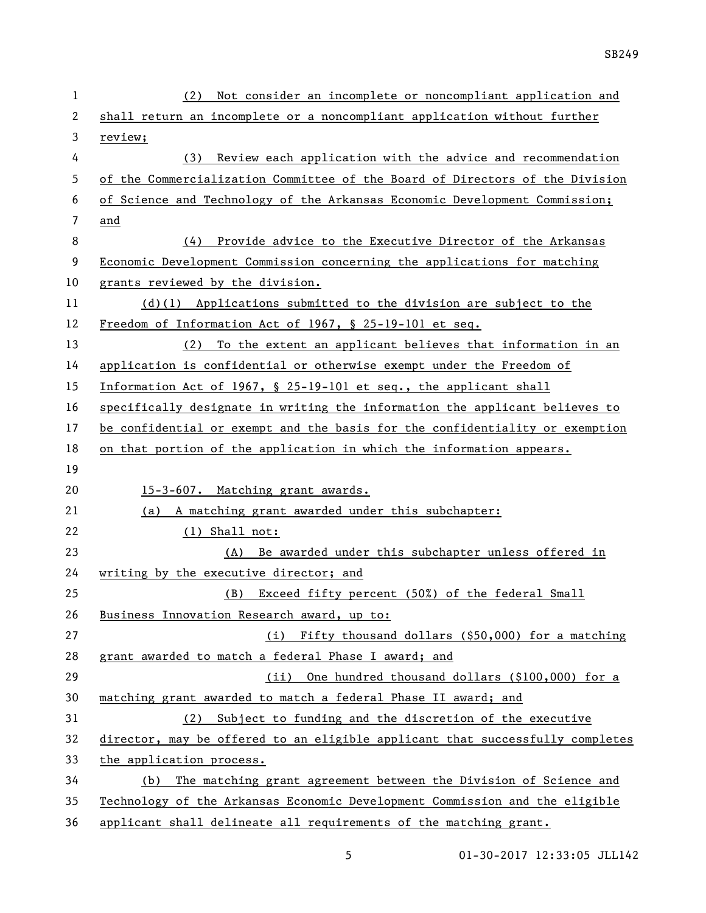| 1  | Not consider an incomplete or noncompliant application and<br>(2)             |
|----|-------------------------------------------------------------------------------|
| 2  | shall return an incomplete or a noncompliant application without further      |
| 3  | review;                                                                       |
| 4  | Review each application with the advice and recommendation<br>(3)             |
| 5  | of the Commercialization Committee of the Board of Directors of the Division  |
| 6  | of Science and Technology of the Arkansas Economic Development Commission;    |
| 7  | and                                                                           |
| 8  | Provide advice to the Executive Director of the Arkansas<br>(4)               |
| 9  | Economic Development Commission concerning the applications for matching      |
| 10 | grants reviewed by the division.                                              |
| 11 | $(d)(1)$ Applications submitted to the division are subject to the            |
| 12 | Freedom of Information Act of 1967, § 25-19-101 et seq.                       |
| 13 | To the extent an applicant believes that information in an<br>(2)             |
| 14 | application is confidential or otherwise exempt under the Freedom of          |
| 15 | Information Act of 1967, § 25-19-101 et seq., the applicant shall             |
| 16 | specifically designate in writing the information the applicant believes to   |
| 17 | be confidential or exempt and the basis for the confidentiality or exemption  |
| 18 | on that portion of the application in which the information appears.          |
| 19 |                                                                               |
| 20 | 15-3-607. Matching grant awards.                                              |
| 21 | (a) A matching grant awarded under this subchapter:                           |
| 22 | $(1)$ Shall not:                                                              |
| 23 | Be awarded under this subchapter unless offered in<br>(A)                     |
| 24 | writing by the executive director; and                                        |
| 25 | Exceed fifty percent (50%) of the federal Small<br>(B)                        |
| 26 | Business Innovation Research award, up to:                                    |
| 27 | (i) Fifty thousand dollars (\$50,000) for a matching                          |
| 28 | grant awarded to match a federal Phase I award; and                           |
| 29 | (ii) One hundred thousand dollars (\$100,000) for a                           |
| 30 | matching grant awarded to match a federal Phase II award; and                 |
| 31 | (2) Subject to funding and the discretion of the executive                    |
| 32 | director, may be offered to an eligible applicant that successfully completes |
| 33 | the application process.                                                      |
| 34 | The matching grant agreement between the Division of Science and<br>(b)       |
| 35 | Technology of the Arkansas Economic Development Commission and the eligible   |
| 36 | applicant shall delineate all requirements of the matching grant.             |

5 01-30-2017 12:33:05 JLL142